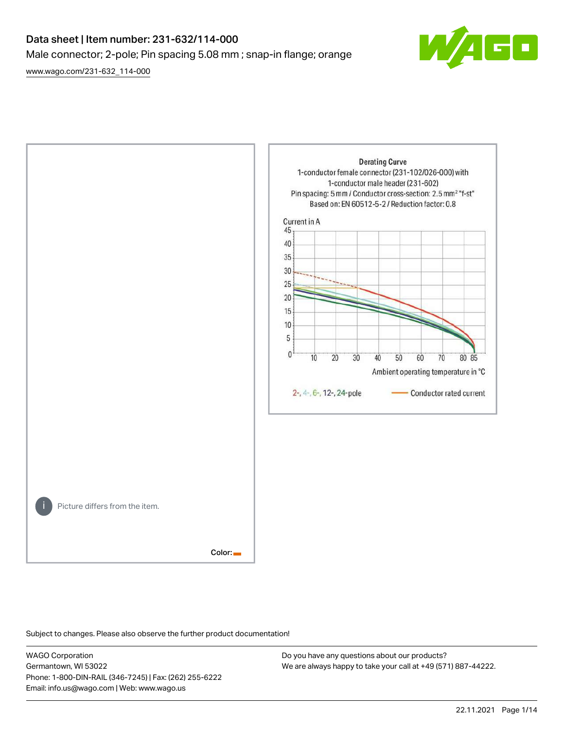# Data sheet | Item number: 231-632/114-000 Male connector; 2-pole; Pin spacing 5.08 mm ; snap-in flange; orange

[www.wago.com/231-632\\_114-000](http://www.wago.com/231-632_114-000)





Subject to changes. Please also observe the further product documentation!

WAGO Corporation Germantown, WI 53022 Phone: 1-800-DIN-RAIL (346-7245) | Fax: (262) 255-6222 Email: info.us@wago.com | Web: www.wago.us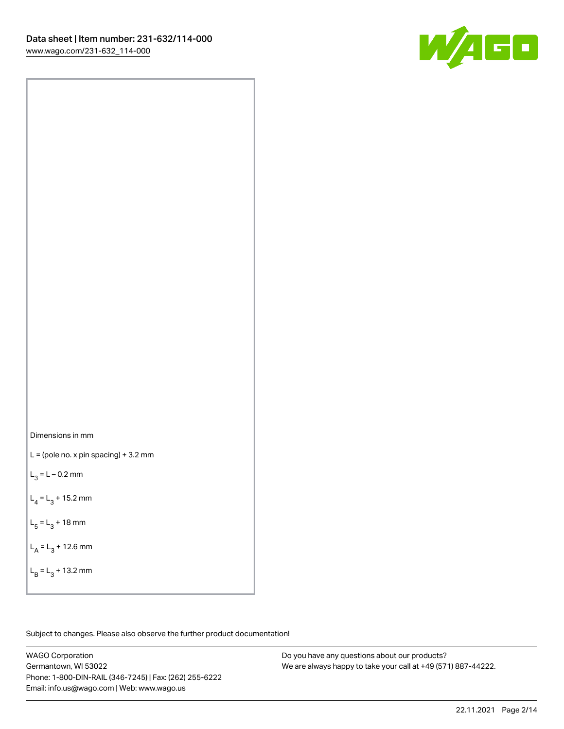



 $L =$  (pole no. x pin spacing) + 3.2 mm

 $L_3 = L - 0.2$  mm

 $L_4 = L_3 + 15.2$  mm

 $L_5 = L_3 + 18$  mm

 $L_A = L_3 + 12.6$  mm

 $L_B = L_3 + 13.2$  mm

Subject to changes. Please also observe the further product documentation!

WAGO Corporation Germantown, WI 53022 Phone: 1-800-DIN-RAIL (346-7245) | Fax: (262) 255-6222 Email: info.us@wago.com | Web: www.wago.us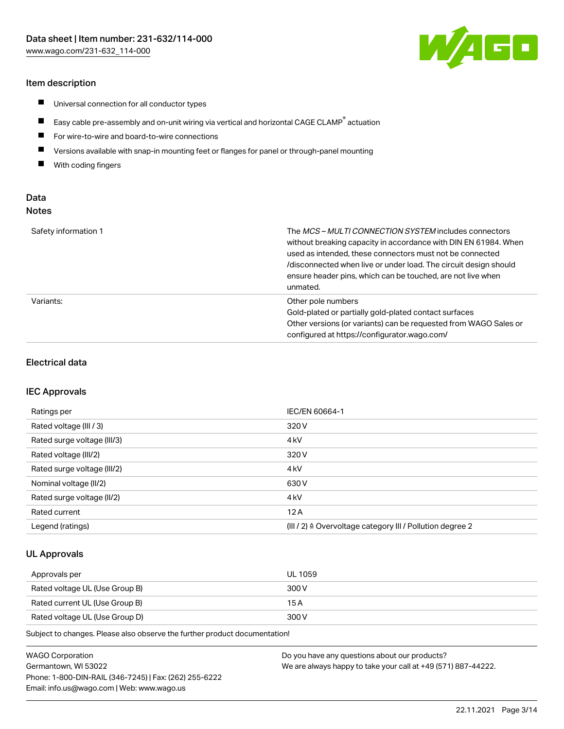# Item description

- $\blacksquare$ Universal connection for all conductor types
- $\blacksquare$ Easy cable pre-assembly and on-unit wiring via vertical and horizontal CAGE CLAMP<sup>®</sup> actuation
- $\blacksquare$ For wire-to-wire and board-to-wire connections
- $\blacksquare$ Versions available with snap-in mounting feet or flanges for panel or through-panel mounting
- $\blacksquare$ With coding fingers

# Data Notes

| Safety information 1 | The <i>MCS – MULTI CONNECTION SYSTEM</i> includes connectors<br>without breaking capacity in accordance with DIN EN 61984. When<br>used as intended, these connectors must not be connected<br>/disconnected when live or under load. The circuit design should<br>ensure header pins, which can be touched, are not live when<br>unmated. |
|----------------------|--------------------------------------------------------------------------------------------------------------------------------------------------------------------------------------------------------------------------------------------------------------------------------------------------------------------------------------------|
| Variants:            | Other pole numbers<br>Gold-plated or partially gold-plated contact surfaces<br>Other versions (or variants) can be requested from WAGO Sales or<br>configured at https://configurator.wago.com/                                                                                                                                            |

## Electrical data

### IEC Approvals

| Ratings per                 | IEC/EN 60664-1                                                        |
|-----------------------------|-----------------------------------------------------------------------|
| Rated voltage (III / 3)     | 320 V                                                                 |
| Rated surge voltage (III/3) | 4 <sub>k</sub> V                                                      |
| Rated voltage (III/2)       | 320 V                                                                 |
| Rated surge voltage (III/2) | 4 <sub>k</sub> V                                                      |
| Nominal voltage (II/2)      | 630 V                                                                 |
| Rated surge voltage (II/2)  | 4 <sub>kV</sub>                                                       |
| Rated current               | 12A                                                                   |
| Legend (ratings)            | $(III / 2)$ $\triangle$ Overvoltage category III / Pollution degree 2 |

# UL Approvals

| Approvals per                  | UL 1059 |
|--------------------------------|---------|
| Rated voltage UL (Use Group B) | 300 V   |
| Rated current UL (Use Group B) | 15 A    |
| Rated voltage UL (Use Group D) | 300 V   |

Subject to changes. Please also observe the further product documentation!

| <b>WAGO Corporation</b>                                | Do you have any questions about our products?                 |
|--------------------------------------------------------|---------------------------------------------------------------|
| Germantown, WI 53022                                   | We are always happy to take your call at +49 (571) 887-44222. |
| Phone: 1-800-DIN-RAIL (346-7245)   Fax: (262) 255-6222 |                                                               |
| Email: info.us@wago.com   Web: www.wago.us             |                                                               |

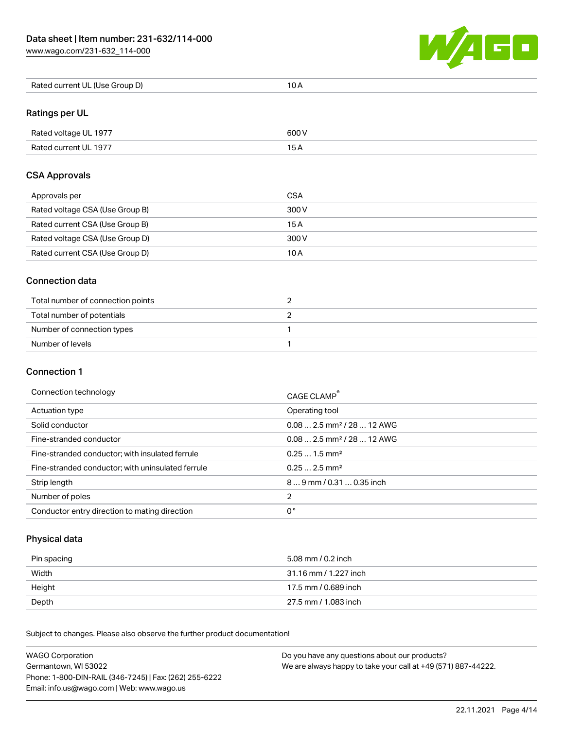[www.wago.com/231-632\\_114-000](http://www.wago.com/231-632_114-000)



| Rated current UL (Use Group D) | 10 A |
|--------------------------------|------|
|--------------------------------|------|

# Ratings per UL

| Rated voltage UL 1977 | 600 V |
|-----------------------|-------|
| Rated current UL 1977 |       |

# CSA Approvals

| Approvals per                   | CSA   |
|---------------------------------|-------|
| Rated voltage CSA (Use Group B) | 300 V |
| Rated current CSA (Use Group B) | 15 A  |
| Rated voltage CSA (Use Group D) | 300 V |
| Rated current CSA (Use Group D) | 10 A  |

## Connection data

| Total number of connection points |  |
|-----------------------------------|--|
| Total number of potentials        |  |
| Number of connection types        |  |
| Number of levels                  |  |

# Connection 1

#### Connection technology CAGE CLAMP®

|                                                   | <b>CAGE CLAMP</b>                       |
|---------------------------------------------------|-----------------------------------------|
| Actuation type                                    | Operating tool                          |
| Solid conductor                                   | $0.08$ 2.5 mm <sup>2</sup> / 28  12 AWG |
| Fine-stranded conductor                           | $0.08$ 2.5 mm <sup>2</sup> / 28  12 AWG |
| Fine-stranded conductor; with insulated ferrule   | $0.251.5$ mm <sup>2</sup>               |
| Fine-stranded conductor; with uninsulated ferrule | $0.252.5$ mm <sup>2</sup>               |
| Strip length                                      | 89 mm / 0.31  0.35 inch                 |
| Number of poles                                   | 2                                       |
| Conductor entry direction to mating direction     | 0°                                      |

# Physical data

| Pin spacing | 5.08 mm / 0.2 inch    |
|-------------|-----------------------|
| Width       | 31.16 mm / 1.227 inch |
| Height      | 17.5 mm / 0.689 inch  |
| Depth       | 27.5 mm / 1.083 inch  |

Subject to changes. Please also observe the further product documentation! Mechanical data

| <b>WAGO Corporation</b>                                | Do you have any questions about our products?                 |
|--------------------------------------------------------|---------------------------------------------------------------|
| Germantown, WI 53022                                   | We are always happy to take your call at +49 (571) 887-44222. |
| Phone: 1-800-DIN-RAIL (346-7245)   Fax: (262) 255-6222 |                                                               |
| Email: info.us@wago.com   Web: www.wago.us             |                                                               |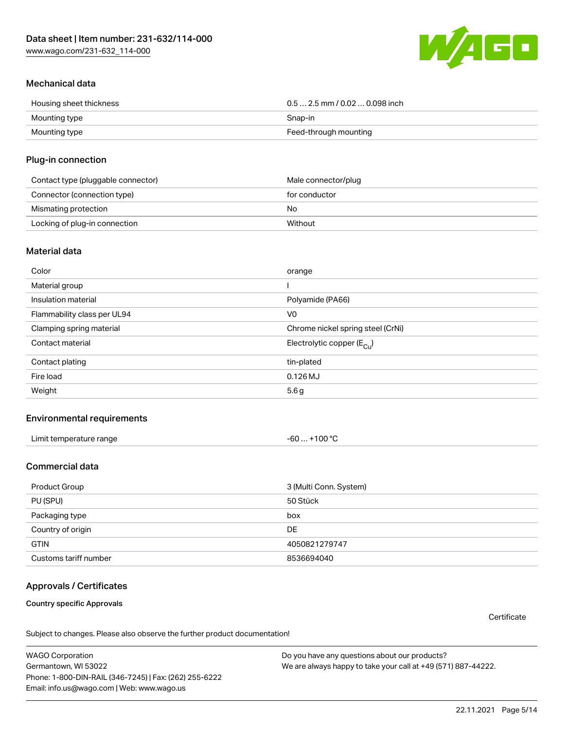[www.wago.com/231-632\\_114-000](http://www.wago.com/231-632_114-000)



# Mechanical data

| Housing sheet thickness | $0.5$ 2.5 mm / 0.02  0.098 inch |
|-------------------------|---------------------------------|
| Mounting type           | Snap-in                         |
| Mounting type           | Feed-through mounting           |

## Plug-in connection

| Contact type (pluggable connector) | Male connector/plug |
|------------------------------------|---------------------|
| Connector (connection type)        | for conductor       |
| Mismating protection               | No                  |
| Locking of plug-in connection      | Without             |

### Material data

| Color                       | orange                                |
|-----------------------------|---------------------------------------|
| Material group              |                                       |
| Insulation material         | Polyamide (PA66)                      |
| Flammability class per UL94 | V <sub>0</sub>                        |
| Clamping spring material    | Chrome nickel spring steel (CrNi)     |
| Contact material            | Electrolytic copper $(E_{\text{Cl}})$ |
| Contact plating             | tin-plated                            |
| Fire load                   | $0.126$ MJ                            |
| Weight                      | 5.6g                                  |

# Environmental requirements

| Limit temperature range<br>the contract of the contract of the contract of the contract of the contract of the contract of the contract of | . +100 ℃<br>-60 |  |
|--------------------------------------------------------------------------------------------------------------------------------------------|-----------------|--|
|--------------------------------------------------------------------------------------------------------------------------------------------|-----------------|--|

# Commercial data

| Product Group         | 3 (Multi Conn. System) |
|-----------------------|------------------------|
| PU (SPU)              | 50 Stück               |
| Packaging type        | box                    |
| Country of origin     | DE                     |
| <b>GTIN</b>           | 4050821279747          |
| Customs tariff number | 8536694040             |

# Approvals / Certificates

Country specific Approvals

**Certificate** 

Subject to changes. Please also observe the further product documentation!

WAGO Corporation Germantown, WI 53022 Phone: 1-800-DIN-RAIL (346-7245) | Fax: (262) 255-6222 Email: info.us@wago.com | Web: www.wago.us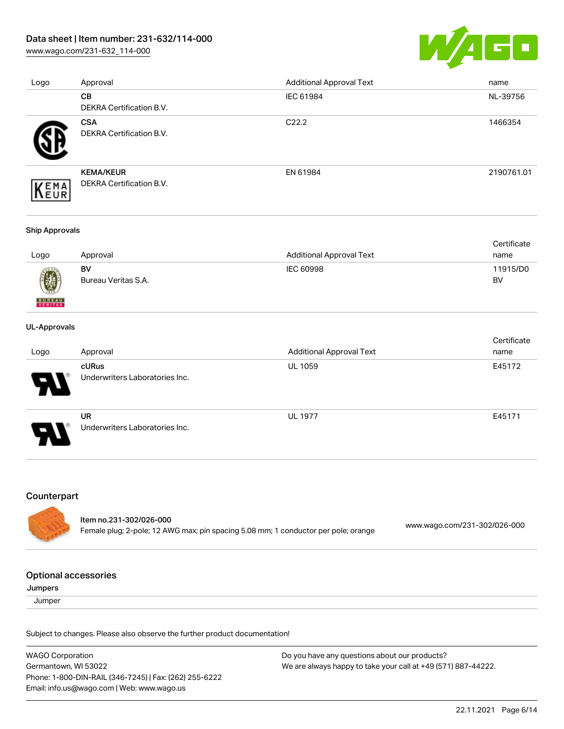# Data sheet | Item number: 231-632/114-000

[www.wago.com/231-632\\_114-000](http://www.wago.com/231-632_114-000)



| Logo | Approval                        | <b>Additional Approval Text</b> | name       |
|------|---------------------------------|---------------------------------|------------|
|      | <b>CB</b>                       | IEC 61984                       | NL-39756   |
|      | DEKRA Certification B.V.        |                                 |            |
|      | <b>CSA</b>                      | C <sub>22.2</sub>               | 1466354    |
|      | DEKRA Certification B.V.        |                                 |            |
|      | <b>KEMA/KEUR</b>                | EN 61984                        | 2190761.01 |
| EMA  | <b>DEKRA Certification B.V.</b> |                                 |            |

#### Ship Approvals

|      |                     |                          | Certificate |
|------|---------------------|--------------------------|-------------|
| Logo | Approval            | Additional Approval Text | name        |
|      | BV                  | IEC 60998                | 11915/D0    |
| 0    | Bureau Veritas S.A. |                          | BV          |

#### UL-Approvals

**BUREAU** 

|                       |                                             |                                 | Certificate |
|-----------------------|---------------------------------------------|---------------------------------|-------------|
| Logo                  | Approval                                    | <b>Additional Approval Text</b> | name        |
| $\boldsymbol{\theta}$ | cURus<br>Underwriters Laboratories Inc.     | <b>UL 1059</b>                  | E45172      |
| J                     | <b>UR</b><br>Underwriters Laboratories Inc. | <b>UL 1977</b>                  | E45171      |

# Counterpart

| ltem no.231-302/026-000                                                            |                              |
|------------------------------------------------------------------------------------|------------------------------|
| Female plug; 2-pole; 12 AWG max; pin spacing 5.08 mm; 1 conductor per pole; orange | www.wago.com/231-302/026-000 |

#### Optional accessories

Jumpers

**Jumper** 

Subject to changes. Please also observe the further product documentation!

WAGO Corporation Germantown, WI 53022 Phone: 1-800-DIN-RAIL (346-7245) | Fax: (262) 255-6222 Email: info.us@wago.com | Web: www.wago.us Do you have any questions about our products? We are always happy to take your call at +49 (571) 887-44222.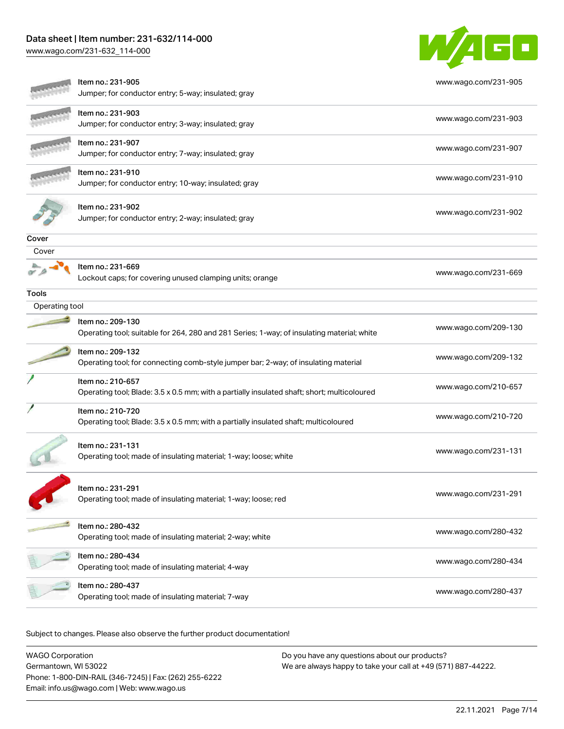# Data sheet | Item number: 231-632/114-000

[www.wago.com/231-632\\_114-000](http://www.wago.com/231-632_114-000)



|                | Item no.: 231-905                                                                           | www.wago.com/231-905 |
|----------------|---------------------------------------------------------------------------------------------|----------------------|
|                | Jumper; for conductor entry; 5-way; insulated; gray                                         |                      |
|                | Item no.: 231-903                                                                           | www.wago.com/231-903 |
|                | Jumper; for conductor entry; 3-way; insulated; gray                                         |                      |
|                | ltem no.: 231-907                                                                           | www.wago.com/231-907 |
|                | Jumper; for conductor entry; 7-way; insulated; gray                                         |                      |
|                | Item no.: 231-910                                                                           | www.wago.com/231-910 |
|                | Jumper; for conductor entry; 10-way; insulated; gray                                        |                      |
|                | Item no.: 231-902                                                                           |                      |
|                | Jumper; for conductor entry; 2-way; insulated; gray                                         | www.wago.com/231-902 |
| Cover          |                                                                                             |                      |
| Cover          |                                                                                             |                      |
|                | Item no.: 231-669                                                                           |                      |
|                | Lockout caps; for covering unused clamping units; orange                                    | www.wago.com/231-669 |
| <b>Tools</b>   |                                                                                             |                      |
| Operating tool |                                                                                             |                      |
|                | Item no.: 209-130                                                                           | www.wago.com/209-130 |
|                | Operating tool; suitable for 264, 280 and 281 Series; 1-way; of insulating material; white  |                      |
|                | Item no.: 209-132                                                                           | www.wago.com/209-132 |
|                | Operating tool; for connecting comb-style jumper bar; 2-way; of insulating material         |                      |
|                | Item no.: 210-657                                                                           |                      |
|                | Operating tool; Blade: 3.5 x 0.5 mm; with a partially insulated shaft; short; multicoloured | www.wago.com/210-657 |
|                | Item no.: 210-720                                                                           |                      |
|                | Operating tool; Blade: 3.5 x 0.5 mm; with a partially insulated shaft; multicoloured        | www.wago.com/210-720 |
|                | Item no.: 231-131                                                                           |                      |
|                | Operating tool; made of insulating material; 1-way; loose; white                            | www.wago.com/231-131 |
|                |                                                                                             |                      |
|                | Item no.: 231-291                                                                           |                      |
|                | Operating tool; made of insulating material; 1-way; loose; red                              | www.wago.com/231-291 |
|                |                                                                                             |                      |
|                | Item no.: 280-432                                                                           |                      |
|                | Operating tool; made of insulating material; 2-way; white                                   | www.wago.com/280-432 |
|                | Item no.: 280-434                                                                           |                      |
|                | Operating tool; made of insulating material; 4-way                                          | www.wago.com/280-434 |
|                | ltem no.: 280-437                                                                           |                      |
|                | Operating tool; made of insulating material; 7-way                                          | www.wago.com/280-437 |
|                |                                                                                             |                      |

Subject to changes. Please also observe the further product documentation!

WAGO Corporation Germantown, WI 53022 Phone: 1-800-DIN-RAIL (346-7245) | Fax: (262) 255-6222 Email: info.us@wago.com | Web: www.wago.us Do you have any questions about our products? We are always happy to take your call at +49 (571) 887-44222.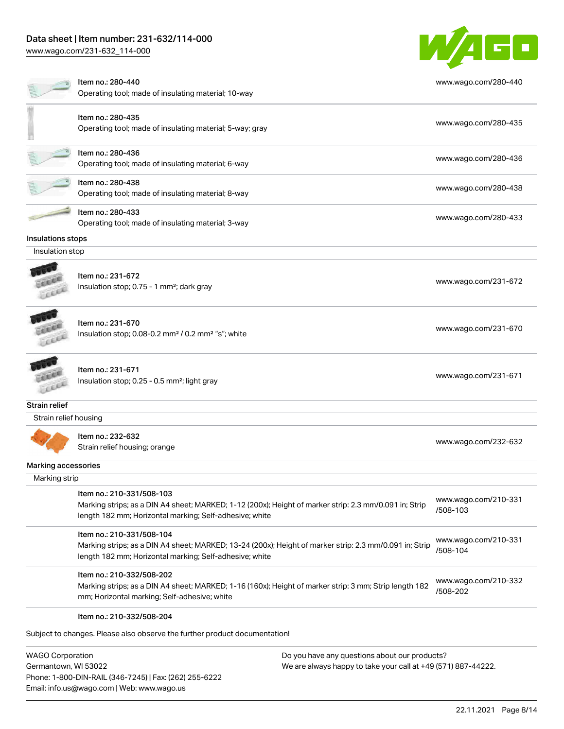# Data sheet | Item number: 231-632/114-000

[www.wago.com/231-632\\_114-000](http://www.wago.com/231-632_114-000)



| Item no.: 280-440<br>www.wago.com/280-440<br>Operating tool; made of insulating material; 10-way<br>Item no.: 280-435<br>www.wago.com/280-435<br>Operating tool; made of insulating material; 5-way; gray<br>Item no.: 280-436<br>www.wago.com/280-436<br>Operating tool; made of insulating material; 6-way<br>Item no.: 280-438<br>www.wago.com/280-438<br>Operating tool; made of insulating material; 8-way<br>Item no.: 280-433<br>www.wago.com/280-433<br>Operating tool; made of insulating material; 3-way<br>Insulations stops<br>Insulation stop<br>Item no.: 231-672<br>www.wago.com/231-672<br>Insulation stop; 0.75 - 1 mm <sup>2</sup> ; dark gray<br>Item no.: 231-670<br>www.wago.com/231-670<br>Insulation stop; 0.08-0.2 mm <sup>2</sup> / 0.2 mm <sup>2</sup> "s"; white<br>Item no.: 231-671<br>www.wago.com/231-671<br>Insulation stop; 0.25 - 0.5 mm <sup>2</sup> ; light gray<br>Strain relief<br>Strain relief housing<br>Item no.: 232-632<br>www.wago.com/232-632<br>Strain relief housing; orange<br>Marking accessories<br>Marking strip<br>Item no.: 210-331/508-103<br>www.wago.com/210-331<br>Marking strips; as a DIN A4 sheet; MARKED; 1-12 (200x); Height of marker strip: 2.3 mm/0.091 in; Strip<br>/508-103<br>length 182 mm; Horizontal marking; Self-adhesive; white<br>Item no.: 210-331/508-104<br>www.wago.com/210-331<br>Marking strips; as a DIN A4 sheet; MARKED; 13-24 (200x); Height of marker strip: 2.3 mm/0.091 in; Strip<br>/508-104<br>length 182 mm; Horizontal marking; Self-adhesive; white<br>Item no.: 210-332/508-202<br>www.wago.com/210-332<br>Marking strips; as a DIN A4 sheet; MARKED; 1-16 (160x); Height of marker strip: 3 mm; Strip length 182<br>/508-202<br>mm; Horizontal marking; Self-adhesive; white<br>Item no.: 210-332/508-204 |  |  |
|-----------------------------------------------------------------------------------------------------------------------------------------------------------------------------------------------------------------------------------------------------------------------------------------------------------------------------------------------------------------------------------------------------------------------------------------------------------------------------------------------------------------------------------------------------------------------------------------------------------------------------------------------------------------------------------------------------------------------------------------------------------------------------------------------------------------------------------------------------------------------------------------------------------------------------------------------------------------------------------------------------------------------------------------------------------------------------------------------------------------------------------------------------------------------------------------------------------------------------------------------------------------------------------------------------------------------------------------------------------------------------------------------------------------------------------------------------------------------------------------------------------------------------------------------------------------------------------------------------------------------------------------------------------------------------------------------------------------------------------------------------------------------------------------------------------|--|--|
|                                                                                                                                                                                                                                                                                                                                                                                                                                                                                                                                                                                                                                                                                                                                                                                                                                                                                                                                                                                                                                                                                                                                                                                                                                                                                                                                                                                                                                                                                                                                                                                                                                                                                                                                                                                                           |  |  |
|                                                                                                                                                                                                                                                                                                                                                                                                                                                                                                                                                                                                                                                                                                                                                                                                                                                                                                                                                                                                                                                                                                                                                                                                                                                                                                                                                                                                                                                                                                                                                                                                                                                                                                                                                                                                           |  |  |
|                                                                                                                                                                                                                                                                                                                                                                                                                                                                                                                                                                                                                                                                                                                                                                                                                                                                                                                                                                                                                                                                                                                                                                                                                                                                                                                                                                                                                                                                                                                                                                                                                                                                                                                                                                                                           |  |  |
|                                                                                                                                                                                                                                                                                                                                                                                                                                                                                                                                                                                                                                                                                                                                                                                                                                                                                                                                                                                                                                                                                                                                                                                                                                                                                                                                                                                                                                                                                                                                                                                                                                                                                                                                                                                                           |  |  |
|                                                                                                                                                                                                                                                                                                                                                                                                                                                                                                                                                                                                                                                                                                                                                                                                                                                                                                                                                                                                                                                                                                                                                                                                                                                                                                                                                                                                                                                                                                                                                                                                                                                                                                                                                                                                           |  |  |
|                                                                                                                                                                                                                                                                                                                                                                                                                                                                                                                                                                                                                                                                                                                                                                                                                                                                                                                                                                                                                                                                                                                                                                                                                                                                                                                                                                                                                                                                                                                                                                                                                                                                                                                                                                                                           |  |  |
|                                                                                                                                                                                                                                                                                                                                                                                                                                                                                                                                                                                                                                                                                                                                                                                                                                                                                                                                                                                                                                                                                                                                                                                                                                                                                                                                                                                                                                                                                                                                                                                                                                                                                                                                                                                                           |  |  |
|                                                                                                                                                                                                                                                                                                                                                                                                                                                                                                                                                                                                                                                                                                                                                                                                                                                                                                                                                                                                                                                                                                                                                                                                                                                                                                                                                                                                                                                                                                                                                                                                                                                                                                                                                                                                           |  |  |
|                                                                                                                                                                                                                                                                                                                                                                                                                                                                                                                                                                                                                                                                                                                                                                                                                                                                                                                                                                                                                                                                                                                                                                                                                                                                                                                                                                                                                                                                                                                                                                                                                                                                                                                                                                                                           |  |  |
|                                                                                                                                                                                                                                                                                                                                                                                                                                                                                                                                                                                                                                                                                                                                                                                                                                                                                                                                                                                                                                                                                                                                                                                                                                                                                                                                                                                                                                                                                                                                                                                                                                                                                                                                                                                                           |  |  |
|                                                                                                                                                                                                                                                                                                                                                                                                                                                                                                                                                                                                                                                                                                                                                                                                                                                                                                                                                                                                                                                                                                                                                                                                                                                                                                                                                                                                                                                                                                                                                                                                                                                                                                                                                                                                           |  |  |
|                                                                                                                                                                                                                                                                                                                                                                                                                                                                                                                                                                                                                                                                                                                                                                                                                                                                                                                                                                                                                                                                                                                                                                                                                                                                                                                                                                                                                                                                                                                                                                                                                                                                                                                                                                                                           |  |  |
|                                                                                                                                                                                                                                                                                                                                                                                                                                                                                                                                                                                                                                                                                                                                                                                                                                                                                                                                                                                                                                                                                                                                                                                                                                                                                                                                                                                                                                                                                                                                                                                                                                                                                                                                                                                                           |  |  |
|                                                                                                                                                                                                                                                                                                                                                                                                                                                                                                                                                                                                                                                                                                                                                                                                                                                                                                                                                                                                                                                                                                                                                                                                                                                                                                                                                                                                                                                                                                                                                                                                                                                                                                                                                                                                           |  |  |
|                                                                                                                                                                                                                                                                                                                                                                                                                                                                                                                                                                                                                                                                                                                                                                                                                                                                                                                                                                                                                                                                                                                                                                                                                                                                                                                                                                                                                                                                                                                                                                                                                                                                                                                                                                                                           |  |  |
|                                                                                                                                                                                                                                                                                                                                                                                                                                                                                                                                                                                                                                                                                                                                                                                                                                                                                                                                                                                                                                                                                                                                                                                                                                                                                                                                                                                                                                                                                                                                                                                                                                                                                                                                                                                                           |  |  |
|                                                                                                                                                                                                                                                                                                                                                                                                                                                                                                                                                                                                                                                                                                                                                                                                                                                                                                                                                                                                                                                                                                                                                                                                                                                                                                                                                                                                                                                                                                                                                                                                                                                                                                                                                                                                           |  |  |
|                                                                                                                                                                                                                                                                                                                                                                                                                                                                                                                                                                                                                                                                                                                                                                                                                                                                                                                                                                                                                                                                                                                                                                                                                                                                                                                                                                                                                                                                                                                                                                                                                                                                                                                                                                                                           |  |  |
|                                                                                                                                                                                                                                                                                                                                                                                                                                                                                                                                                                                                                                                                                                                                                                                                                                                                                                                                                                                                                                                                                                                                                                                                                                                                                                                                                                                                                                                                                                                                                                                                                                                                                                                                                                                                           |  |  |
|                                                                                                                                                                                                                                                                                                                                                                                                                                                                                                                                                                                                                                                                                                                                                                                                                                                                                                                                                                                                                                                                                                                                                                                                                                                                                                                                                                                                                                                                                                                                                                                                                                                                                                                                                                                                           |  |  |
|                                                                                                                                                                                                                                                                                                                                                                                                                                                                                                                                                                                                                                                                                                                                                                                                                                                                                                                                                                                                                                                                                                                                                                                                                                                                                                                                                                                                                                                                                                                                                                                                                                                                                                                                                                                                           |  |  |

WAGO Corporation Germantown, WI 53022 Phone: 1-800-DIN-RAIL (346-7245) | Fax: (262) 255-6222 Email: info.us@wago.com | Web: www.wago.us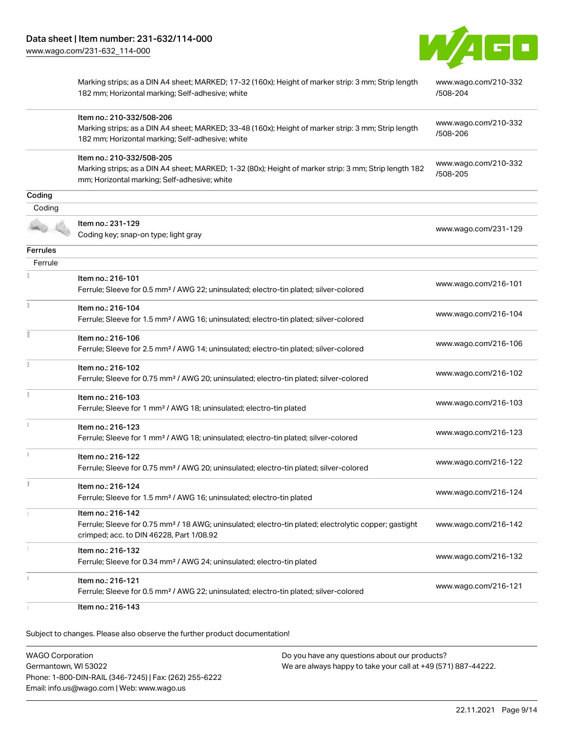

|                 | Marking strips; as a DIN A4 sheet; MARKED; 17-32 (160x); Height of marker strip: 3 mm; Strip length<br>182 mm; Horizontal marking; Self-adhesive; white                              | www.wago.com/210-332<br>/508-204 |
|-----------------|--------------------------------------------------------------------------------------------------------------------------------------------------------------------------------------|----------------------------------|
|                 | Item no.: 210-332/508-206<br>Marking strips; as a DIN A4 sheet; MARKED; 33-48 (160x); Height of marker strip: 3 mm; Strip length<br>182 mm; Horizontal marking; Self-adhesive; white | www.wago.com/210-332<br>/508-206 |
|                 | Item no.: 210-332/508-205<br>Marking strips; as a DIN A4 sheet; MARKED; 1-32 (80x); Height of marker strip: 3 mm; Strip length 182<br>mm; Horizontal marking; Self-adhesive; white   | www.wago.com/210-332<br>/508-205 |
| Coding          |                                                                                                                                                                                      |                                  |
| Coding          |                                                                                                                                                                                      |                                  |
|                 | Item no.: 231-129<br>Coding key; snap-on type; light gray                                                                                                                            | www.wago.com/231-129             |
| <b>Ferrules</b> |                                                                                                                                                                                      |                                  |
| Ferrule         |                                                                                                                                                                                      |                                  |
|                 | Item no.: 216-101<br>Ferrule; Sleeve for 0.5 mm <sup>2</sup> / AWG 22; uninsulated; electro-tin plated; silver-colored                                                               | www.wago.com/216-101             |
| Ť.              | Item no.: 216-104<br>Ferrule; Sleeve for 1.5 mm <sup>2</sup> / AWG 16; uninsulated; electro-tin plated; silver-colored                                                               | www.wago.com/216-104             |
|                 | Item no.: 216-106<br>Ferrule; Sleeve for 2.5 mm <sup>2</sup> / AWG 14; uninsulated; electro-tin plated; silver-colored                                                               | www.wago.com/216-106             |
|                 | Item no.: 216-102<br>Ferrule; Sleeve for 0.75 mm <sup>2</sup> / AWG 20; uninsulated; electro-tin plated; silver-colored                                                              | www.wago.com/216-102             |
|                 | Item no.: 216-103<br>Ferrule; Sleeve for 1 mm <sup>2</sup> / AWG 18; uninsulated; electro-tin plated                                                                                 | www.wago.com/216-103             |
| ĵ.              | Item no.: 216-123<br>Ferrule; Sleeve for 1 mm <sup>2</sup> / AWG 18; uninsulated; electro-tin plated; silver-colored                                                                 | www.wago.com/216-123             |
|                 | Item no.: 216-122<br>Ferrule; Sleeve for 0.75 mm <sup>2</sup> / AWG 20; uninsulated; electro-tin plated; silver-colored                                                              | www.wago.com/216-122             |
|                 | Item no.: 216-124<br>Ferrule; Sleeve for 1.5 mm <sup>2</sup> / AWG 16; uninsulated; electro-tin plated                                                                               | www.wago.com/216-124             |
|                 | Item no.: 216-142<br>Ferrule; Sleeve for 0.75 mm <sup>2</sup> / 18 AWG; uninsulated; electro-tin plated; electrolytic copper; gastight<br>crimped; acc. to DIN 46228, Part 1/08.92   | www.wago.com/216-142             |
|                 | Item no.: 216-132<br>Ferrule; Sleeve for 0.34 mm <sup>2</sup> / AWG 24; uninsulated; electro-tin plated                                                                              | www.wago.com/216-132             |
|                 | Item no.: 216-121<br>Ferrule; Sleeve for 0.5 mm <sup>2</sup> / AWG 22; uninsulated; electro-tin plated; silver-colored                                                               | www.wago.com/216-121             |
|                 | Item no.: 216-143                                                                                                                                                                    |                                  |

Subject to changes. Please also observe the further product documentation!

WAGO Corporation Germantown, WI 53022 Phone: 1-800-DIN-RAIL (346-7245) | Fax: (262) 255-6222 Email: info.us@wago.com | Web: www.wago.us Do you have any questions about our products? We are always happy to take your call at +49 (571) 887-44222.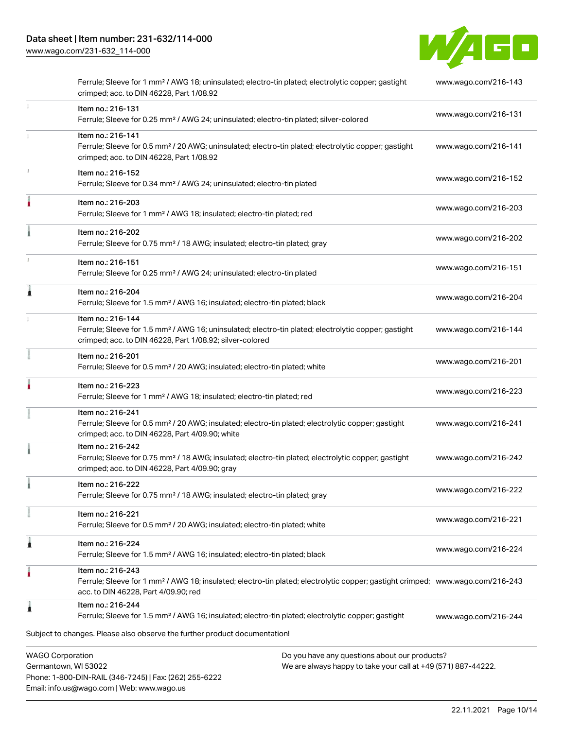Email: info.us@wago.com | Web: www.wago.us

[www.wago.com/231-632\\_114-000](http://www.wago.com/231-632_114-000)



|   | Ferrule; Sleeve for 1 mm <sup>2</sup> / AWG 18; uninsulated; electro-tin plated; electrolytic copper; gastight<br>crimped; acc. to DIN 46228, Part 1/08.92                                              |                                                                                                                | www.wago.com/216-143 |
|---|---------------------------------------------------------------------------------------------------------------------------------------------------------------------------------------------------------|----------------------------------------------------------------------------------------------------------------|----------------------|
| 1 | Item no.: 216-131<br>Ferrule; Sleeve for 0.25 mm <sup>2</sup> / AWG 24; uninsulated; electro-tin plated; silver-colored                                                                                 |                                                                                                                | www.wago.com/216-131 |
|   | Item no.: 216-141<br>Ferrule; Sleeve for 0.5 mm <sup>2</sup> / 20 AWG; uninsulated; electro-tin plated; electrolytic copper; gastight<br>crimped; acc. to DIN 46228, Part 1/08.92                       |                                                                                                                | www.wago.com/216-141 |
|   | Item no.: 216-152<br>Ferrule; Sleeve for 0.34 mm <sup>2</sup> / AWG 24; uninsulated; electro-tin plated                                                                                                 |                                                                                                                | www.wago.com/216-152 |
|   | Item no.: 216-203<br>Ferrule; Sleeve for 1 mm <sup>2</sup> / AWG 18; insulated; electro-tin plated; red                                                                                                 |                                                                                                                | www.wago.com/216-203 |
|   | Item no.: 216-202<br>Ferrule; Sleeve for 0.75 mm <sup>2</sup> / 18 AWG; insulated; electro-tin plated; gray                                                                                             |                                                                                                                | www.wago.com/216-202 |
|   | Item no.: 216-151<br>Ferrule; Sleeve for 0.25 mm <sup>2</sup> / AWG 24; uninsulated; electro-tin plated                                                                                                 |                                                                                                                | www.wago.com/216-151 |
|   | Item no.: 216-204<br>Ferrule; Sleeve for 1.5 mm <sup>2</sup> / AWG 16; insulated; electro-tin plated; black                                                                                             |                                                                                                                | www.wago.com/216-204 |
|   | Item no.: 216-144<br>Ferrule; Sleeve for 1.5 mm <sup>2</sup> / AWG 16; uninsulated; electro-tin plated; electrolytic copper; gastight<br>crimped; acc. to DIN 46228, Part 1/08.92; silver-colored       |                                                                                                                | www.wago.com/216-144 |
|   | Item no.: 216-201<br>Ferrule; Sleeve for 0.5 mm <sup>2</sup> / 20 AWG; insulated; electro-tin plated; white                                                                                             |                                                                                                                | www.wago.com/216-201 |
|   | Item no.: 216-223<br>Ferrule; Sleeve for 1 mm <sup>2</sup> / AWG 18; insulated; electro-tin plated; red                                                                                                 |                                                                                                                | www.wago.com/216-223 |
|   | Item no.: 216-241<br>Ferrule; Sleeve for 0.5 mm <sup>2</sup> / 20 AWG; insulated; electro-tin plated; electrolytic copper; gastight<br>crimped; acc. to DIN 46228, Part 4/09.90; white                  |                                                                                                                | www.wago.com/216-241 |
|   | Item no.: 216-242<br>Ferrule; Sleeve for 0.75 mm <sup>2</sup> / 18 AWG; insulated; electro-tin plated; electrolytic copper; gastight<br>crimped; acc. to DIN 46228, Part 4/09.90; gray                  |                                                                                                                | www.wago.com/216-242 |
|   | Item no.: 216-222<br>Ferrule; Sleeve for 0.75 mm <sup>2</sup> / 18 AWG; insulated; electro-tin plated; gray                                                                                             |                                                                                                                | www.wago.com/216-222 |
|   | Item no.: 216-221<br>Ferrule; Sleeve for 0.5 mm <sup>2</sup> / 20 AWG; insulated; electro-tin plated; white                                                                                             |                                                                                                                | www.wago.com/216-221 |
|   | Item no.: 216-224<br>Ferrule; Sleeve for 1.5 mm <sup>2</sup> / AWG 16; insulated; electro-tin plated; black                                                                                             |                                                                                                                | www.wago.com/216-224 |
|   | Item no.: 216-243<br>Ferrule; Sleeve for 1 mm <sup>2</sup> / AWG 18; insulated; electro-tin plated; electrolytic copper; gastight crimped; www.wago.com/216-243<br>acc. to DIN 46228, Part 4/09.90; red |                                                                                                                |                      |
|   | Item no.: 216-244<br>Ferrule; Sleeve for 1.5 mm <sup>2</sup> / AWG 16; insulated; electro-tin plated; electrolytic copper; gastight                                                                     |                                                                                                                | www.wago.com/216-244 |
|   | Subject to changes. Please also observe the further product documentation!                                                                                                                              |                                                                                                                |                      |
|   | <b>WAGO Corporation</b><br>Germantown, WI 53022<br>Phone: 1-800-DIN-RAIL (346-7245)   Fax: (262) 255-6222                                                                                               | Do you have any questions about our products?<br>We are always happy to take your call at +49 (571) 887-44222. |                      |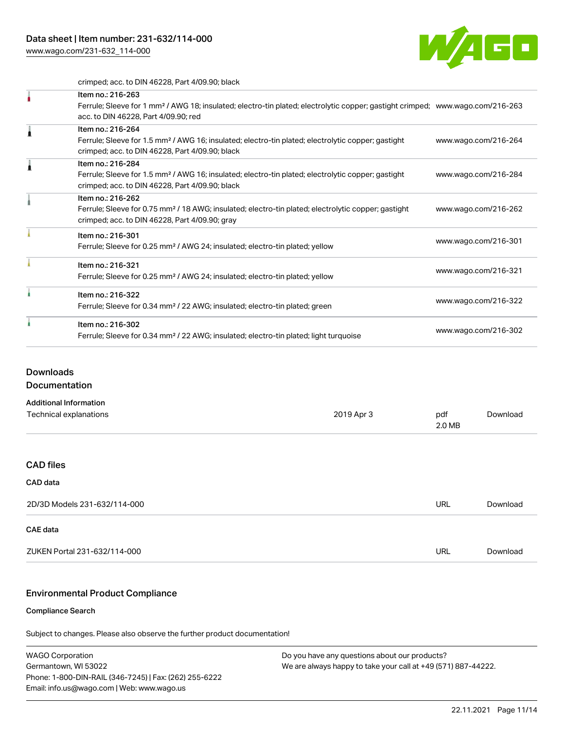[www.wago.com/231-632\\_114-000](http://www.wago.com/231-632_114-000)



crimped; acc. to DIN 46228, Part 4/09.90; black

|  | Item no.: 216-263                                                                                                                          |                      |
|--|--------------------------------------------------------------------------------------------------------------------------------------------|----------------------|
|  | Ferrule; Sleeve for 1 mm <sup>2</sup> / AWG 18; insulated; electro-tin plated; electrolytic copper; gastight crimped; www.wago.com/216-263 |                      |
|  | acc. to DIN 46228, Part 4/09.90; red                                                                                                       |                      |
|  | Item no.: 216-264                                                                                                                          |                      |
|  | Ferrule; Sleeve for 1.5 mm <sup>2</sup> / AWG 16; insulated; electro-tin plated; electrolytic copper; gastight                             | www.wago.com/216-264 |
|  | crimped; acc. to DIN 46228, Part 4/09.90; black                                                                                            |                      |
|  | Item no.: 216-284                                                                                                                          |                      |
|  | Ferrule; Sleeve for 1.5 mm <sup>2</sup> / AWG 16; insulated; electro-tin plated; electrolytic copper; gastight                             | www.wago.com/216-284 |
|  | crimped; acc. to DIN 46228, Part 4/09.90; black                                                                                            |                      |
|  | Item no.: 216-262                                                                                                                          |                      |
|  | Ferrule; Sleeve for 0.75 mm <sup>2</sup> / 18 AWG; insulated; electro-tin plated; electrolytic copper; gastight                            | www.wago.com/216-262 |
|  | crimped; acc. to DIN 46228, Part 4/09.90; gray                                                                                             |                      |
|  | Item no.: 216-301                                                                                                                          |                      |
|  | Ferrule; Sleeve for 0.25 mm <sup>2</sup> / AWG 24; insulated; electro-tin plated; yellow                                                   | www.wago.com/216-301 |
|  | Item no.: 216-321                                                                                                                          |                      |
|  | Ferrule; Sleeve for 0.25 mm <sup>2</sup> / AWG 24; insulated; electro-tin plated; yellow                                                   | www.wago.com/216-321 |
|  | Item no.: 216-322                                                                                                                          |                      |
|  | Ferrule; Sleeve for 0.34 mm <sup>2</sup> / 22 AWG; insulated; electro-tin plated; green                                                    | www.wago.com/216-322 |
|  | Item no.: 216-302                                                                                                                          |                      |
|  | Ferrule; Sleeve for 0.34 mm <sup>2</sup> / 22 AWG; insulated; electro-tin plated; light turquoise                                          | www.wago.com/216-302 |
|  |                                                                                                                                            |                      |

### **Downloads**

Documentation

| 2019 Apr 3 | pdf<br>2.0 MB | Download |
|------------|---------------|----------|
|            |               |          |
|            |               |          |
|            |               |          |
|            | <b>URL</b>    | Download |
|            |               |          |
|            | <b>URL</b>    | Download |
|            |               |          |

## Environmental Product Compliance

#### Compliance Search

Subject to changes. Please also observe the further product documentation!

WAGO Corporation Germantown, WI 53022 Phone: 1-800-DIN-RAIL (346-7245) | Fax: (262) 255-6222 Email: info.us@wago.com | Web: www.wago.us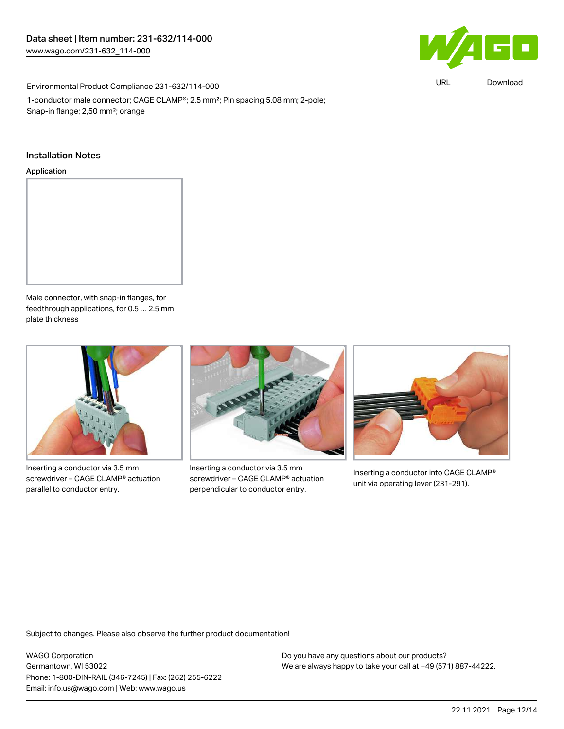

URL [Download](https://www.wago.com/global/d/ComplianceLinkMediaContainer_231-632_114-000)

Environmental Product Compliance 231-632/114-000 1-conductor male connector; CAGE CLAMP®; 2.5 mm²; Pin spacing 5.08 mm; 2-pole; Snap-in flange; 2,50 mm²; orange

### Installation Notes

#### Application



Male connector, with snap-in flanges, for feedthrough applications, for 0.5 … 2.5 mm plate thickness



Inserting a conductor via 3.5 mm screwdriver – CAGE CLAMP® actuation parallel to conductor entry.



Inserting a conductor via 3.5 mm screwdriver – CAGE CLAMP® actuation perpendicular to conductor entry.



Inserting a conductor into CAGE CLAMP® unit via operating lever (231-291).

Subject to changes. Please also observe the further product documentation!

WAGO Corporation Germantown, WI 53022 Phone: 1-800-DIN-RAIL (346-7245) | Fax: (262) 255-6222 Email: info.us@wago.com | Web: www.wago.us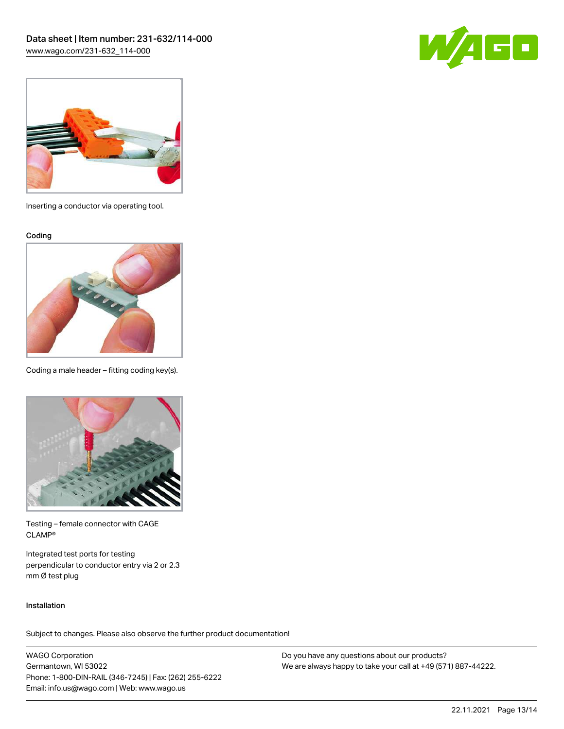



Inserting a conductor via operating tool.

Coding



Coding a male header – fitting coding key(s).



Testing – female connector with CAGE CLAMP®

Integrated test ports for testing perpendicular to conductor entry via 2 or 2.3 mm Ø test plug

#### Installation

Subject to changes. Please also observe the further product documentation!

WAGO Corporation Germantown, WI 53022 Phone: 1-800-DIN-RAIL (346-7245) | Fax: (262) 255-6222 Email: info.us@wago.com | Web: www.wago.us